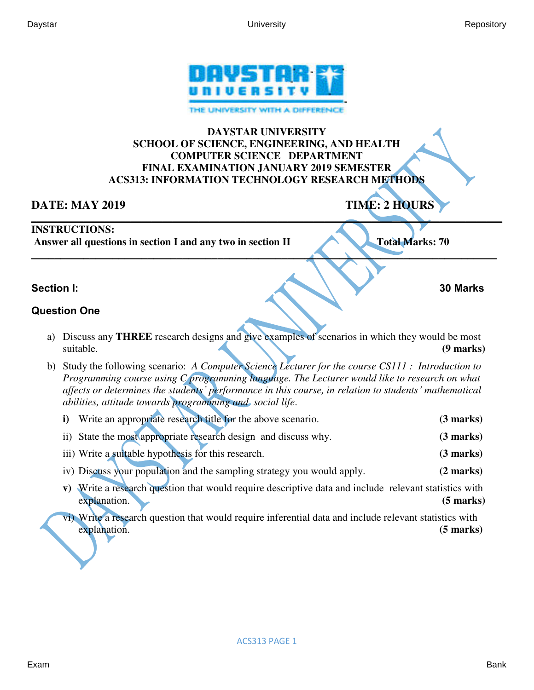

### **DAYSTAR UNIVERSITY SCHOOL OF SCIENCE, ENGINEERING, AND HEALTH COMPUTER SCIENCE DEPARTMENT FINAL EXAMINATION JANUARY 2019 SEMESTER ACS313: INFORMATION TECHNOLOGY RESEARCH METHODS**

**\_\_\_\_\_\_\_\_\_\_\_\_\_\_\_\_\_\_\_\_\_\_\_\_\_\_\_\_\_\_\_\_\_\_\_\_\_\_\_\_\_\_\_\_\_\_\_\_\_\_\_\_\_\_\_\_\_\_\_\_\_\_\_\_\_\_\_\_\_\_\_\_\_\_\_\_\_\_\_\_\_\_\_\_\_\_\_\_\_\_** 

# **DATE: MAY 2019** TIME: 2 HOURS

### **INSTRUCTIONS:**

 **Answer all questions in section I and any two in section II Total Marks: 70** 

**\_\_\_\_\_\_\_\_\_\_\_\_\_\_\_\_\_\_\_\_\_\_\_\_\_\_\_\_\_\_\_\_\_\_\_\_\_\_\_\_\_\_\_\_\_\_\_\_\_\_\_\_\_\_\_\_\_\_\_\_\_\_\_\_\_\_\_\_\_\_\_\_\_\_\_\_\_\_\_\_** 

### **Section I: 30 Marks**

## **Question One**

- a) Discuss any **THREE** research designs and give examples of scenarios in which they would be most suitable. **(9 marks) (9 marks)**
- b) Study the following scenario: *A Computer Science Lecturer for the course CS111 : Introduction to Programming course using C programming language. The Lecturer would like to research on what affects or determines the students' performance in this course, in relation to students' mathematical abilities, attitude towards programming and social life*.
	- **i)** Write an appropriate research title for the above scenario. **(3 marks)**
	- ii) State the most appropriate research design and discuss why. **(3 marks)**
	- iii) Write a suitable hypothesis for this research. **(3 marks)**
	- iv) Discuss your population and the sampling strategy you would apply. **(2 marks)**
	- **v)** Write a research question that would require descriptive data and include relevant statistics with explanation. **(5 marks) (5 marks)**
	- vi) Write a research question that would require inferential data and include relevant statistics with explanation. **(5 marks)**